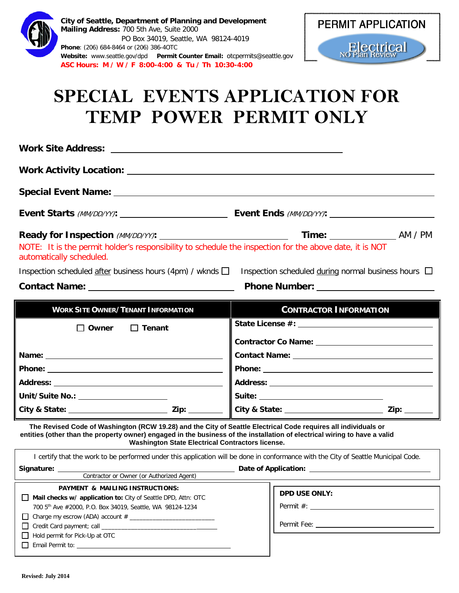| City of Seattle, Department of Planning and Development<br><b>PERMIT APPLICATION</b><br>Mailing Address: 700 5th Ave, Suite 2000<br>PO Box 34019, Seattle, WA 98124-4019<br><b>Electrical</b><br>Phone: (206) 684-8464 or (206) 386-40TC<br>Website: www.seattle.gov/dpd    Permit Counter Email: otcpermits@seattle.gov<br>ASC Hours: M / W / F 8:00-4:00 & Tu / Th 10:30-4:00<br><b>SPECIAL EVENTS APPLICATION FOR</b><br>TEMP POWER PERMIT ONLY |                                                                                                                                                                                                                                     |
|----------------------------------------------------------------------------------------------------------------------------------------------------------------------------------------------------------------------------------------------------------------------------------------------------------------------------------------------------------------------------------------------------------------------------------------------------|-------------------------------------------------------------------------------------------------------------------------------------------------------------------------------------------------------------------------------------|
|                                                                                                                                                                                                                                                                                                                                                                                                                                                    |                                                                                                                                                                                                                                     |
|                                                                                                                                                                                                                                                                                                                                                                                                                                                    |                                                                                                                                                                                                                                     |
| Special Event Name: University of the Special Event Name:                                                                                                                                                                                                                                                                                                                                                                                          |                                                                                                                                                                                                                                     |
|                                                                                                                                                                                                                                                                                                                                                                                                                                                    |                                                                                                                                                                                                                                     |
| NOTE: It is the permit holder's responsibility to schedule the inspection for the above date, it is NOT<br>automatically scheduled.<br>Inspection scheduled after business hours (4pm) / wknds $\square$<br>Inspection scheduled during normal business hours $\Box$                                                                                                                                                                               |                                                                                                                                                                                                                                     |
| <b>Contact Name:</b> The Contact Name:                                                                                                                                                                                                                                                                                                                                                                                                             | <b>Phone Number:</b> The Contract of the Contract of the Contract of the Contract of the Contract of the Contract of the Contract of the Contract of the Contract of the Contract of the Contract of the Contract of the Contract o |
| <b>WORK SITE OWNER/TENANT INFORMATION</b><br>$\Box$ Tenant<br>Owner                                                                                                                                                                                                                                                                                                                                                                                | <b>CONTRACTOR INFORMATION</b>                                                                                                                                                                                                       |
|                                                                                                                                                                                                                                                                                                                                                                                                                                                    | Contact Name: University of the Contact Name:                                                                                                                                                                                       |
|                                                                                                                                                                                                                                                                                                                                                                                                                                                    |                                                                                                                                                                                                                                     |
|                                                                                                                                                                                                                                                                                                                                                                                                                                                    |                                                                                                                                                                                                                                     |
|                                                                                                                                                                                                                                                                                                                                                                                                                                                    |                                                                                                                                                                                                                                     |
| Unit/Suite No.: _______________________                                                                                                                                                                                                                                                                                                                                                                                                            |                                                                                                                                                                                                                                     |
|                                                                                                                                                                                                                                                                                                                                                                                                                                                    |                                                                                                                                                                                                                                     |
| The Revised Code of Washington (RCW 19.28) and the City of Seattle Electrical Code requires all individuals or<br>entities (other than the property owner) engaged in the business of the installation of electrical wiring to have a valid<br><b>Washington State Electrical Contractors license.</b>                                                                                                                                             |                                                                                                                                                                                                                                     |
| I certify that the work to be performed under this application will be done in conformance with the City of Seattle Municipal Code.                                                                                                                                                                                                                                                                                                                |                                                                                                                                                                                                                                     |
| Signature: 2008<br>Contractor or Owner (or Authorized Agent)                                                                                                                                                                                                                                                                                                                                                                                       |                                                                                                                                                                                                                                     |